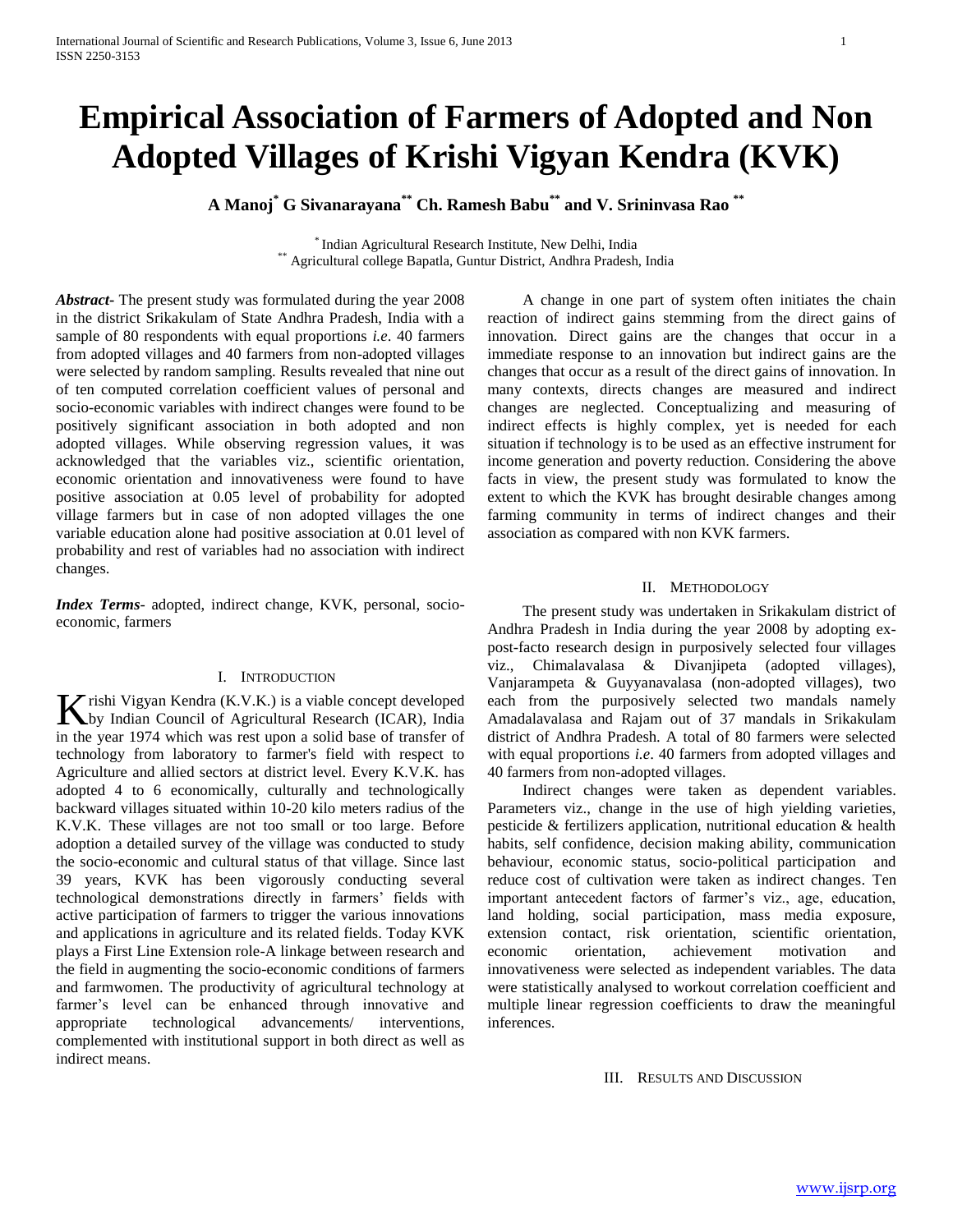# **Empirical Association of Farmers of Adopted and Non Adopted Villages of Krishi Vigyan Kendra (KVK)**

**A Manoj\* G Sivanarayana\*\* Ch. Ramesh Babu\*\* and V. Srininvasa Rao \*\***

\* Indian Agricultural Research Institute, New Delhi, India \*\* Agricultural college Bapatla, Guntur District, Andhra Pradesh, India

*Abstract***-** The present study was formulated during the year 2008 in the district Srikakulam of State Andhra Pradesh, India with a sample of 80 respondents with equal proportions *i.e*. 40 farmers from adopted villages and 40 farmers from non-adopted villages were selected by random sampling. Results revealed that nine out of ten computed correlation coefficient values of personal and socio-economic variables with indirect changes were found to be positively significant association in both adopted and non adopted villages. While observing regression values, it was acknowledged that the variables viz., scientific orientation, economic orientation and innovativeness were found to have positive association at 0.05 level of probability for adopted village farmers but in case of non adopted villages the one variable education alone had positive association at 0.01 level of probability and rest of variables had no association with indirect changes.

*Index Terms*- adopted, indirect change, KVK, personal, socioeconomic, farmers

# I. INTRODUCTION

rishi Vigyan Kendra (K.V.K.) is a viable concept developed Krishi Vigyan Kendra (K.V.K.) is a viable concept developed<br>by Indian Council of Agricultural Research (ICAR), India in the year 1974 which was rest upon a solid base of transfer of technology from laboratory to farmer's field with respect to Agriculture and allied sectors at district level. Every K.V.K. has adopted 4 to 6 economically, culturally and technologically backward villages situated within 10-20 kilo meters radius of the K.V.K. These villages are not too small or too large. Before adoption a detailed survey of the village was conducted to study the socio-economic and cultural status of that village. Since last 39 years, KVK has been vigorously conducting several technological demonstrations directly in farmers' fields with active participation of farmers to trigger the various innovations and applications in agriculture and its related fields. Today KVK plays a First Line Extension role-A linkage between research and the field in augmenting the socio-economic conditions of farmers and farmwomen. The productivity of agricultural technology at farmer's level can be enhanced through innovative and appropriate technological advancements/ interventions, complemented with institutional support in both direct as well as indirect means.

 A change in one part of system often initiates the chain reaction of indirect gains stemming from the direct gains of innovation. Direct gains are the changes that occur in a immediate response to an innovation but indirect gains are the changes that occur as a result of the direct gains of innovation. In many contexts, directs changes are measured and indirect changes are neglected. Conceptualizing and measuring of indirect effects is highly complex, yet is needed for each situation if technology is to be used as an effective instrument for income generation and poverty reduction. Considering the above facts in view, the present study was formulated to know the extent to which the KVK has brought desirable changes among farming community in terms of indirect changes and their association as compared with non KVK farmers.

# II. METHODOLOGY

 The present study was undertaken in Srikakulam district of Andhra Pradesh in India during the year 2008 by adopting expost-facto research design in purposively selected four villages viz., Chimalavalasa & Divanjipeta (adopted villages), Vanjarampeta & Guyyanavalasa (non-adopted villages), two each from the purposively selected two mandals namely Amadalavalasa and Rajam out of 37 mandals in Srikakulam district of Andhra Pradesh. A total of 80 farmers were selected with equal proportions *i.e*. 40 farmers from adopted villages and 40 farmers from non-adopted villages.

 Indirect changes were taken as dependent variables. Parameters viz., change in the use of high yielding varieties, pesticide & fertilizers application, nutritional education & health habits, self confidence, decision making ability, communication behaviour, economic status, socio-political participation and reduce cost of cultivation were taken as indirect changes. Ten important antecedent factors of farmer's viz., age, education, land holding, social participation, mass media exposure, extension contact, risk orientation, scientific orientation, economic orientation, achievement motivation and innovativeness were selected as independent variables. The data were statistically analysed to workout correlation coefficient and multiple linear regression coefficients to draw the meaningful inferences.

III. RESULTS AND DISCUSSION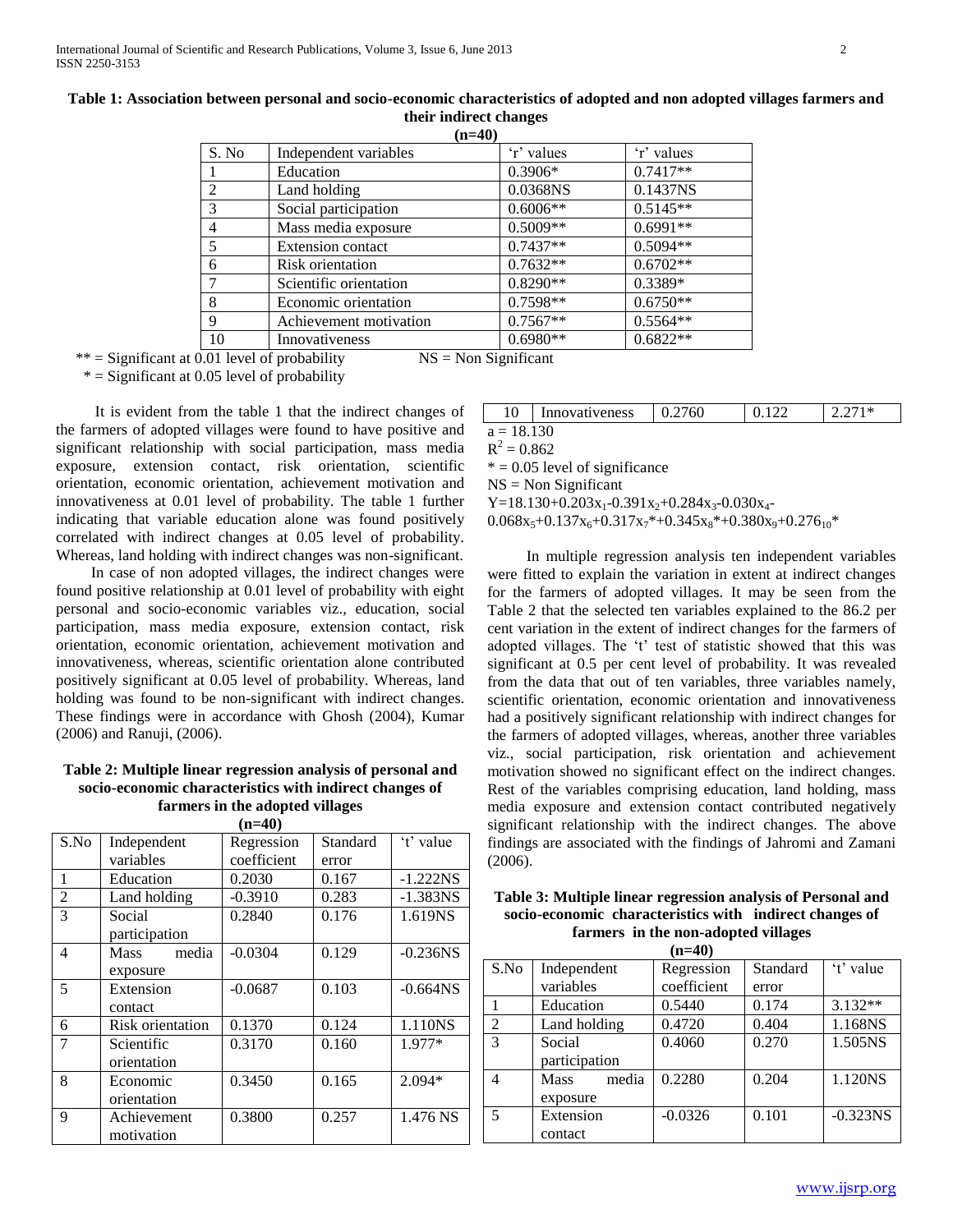| S. No          | Independent variables    | 'r' values | 'r' values |
|----------------|--------------------------|------------|------------|
|                | Education                | $0.3906*$  | $0.7417**$ |
| $\overline{2}$ | Land holding             | 0.0368NS   | 0.1437NS   |
| 3              | Social participation     | $0.6006**$ | $0.5145**$ |
| 4              | Mass media exposure      | $0.5009**$ | $0.6991**$ |
| 5              | <b>Extension contact</b> | $0.7437**$ | $0.5094**$ |
| 6              | Risk orientation         | $0.7632**$ | $0.6702**$ |
|                | Scientific orientation   | $0.8290**$ | $0.3389*$  |
| 8              | Economic orientation     | $0.7598**$ | $0.6750**$ |
| 9              | Achievement motivation   | $0.7567**$ | $0.5564**$ |
| 10             | Innovativeness           | $0.6980**$ | $0.6822**$ |

# **Table 1: Association between personal and socio-economic characteristics of adopted and non adopted villages farmers and their indirect changes**

**(n=40)**

 $**$  = Significant at 0.01 level of probability  $NS = Non$  Significant

 $* =$  Significant at 0.05 level of probability

 It is evident from the table 1 that the indirect changes of the farmers of adopted villages were found to have positive and significant relationship with social participation, mass media exposure, extension contact, risk orientation, scientific orientation, economic orientation, achievement motivation and innovativeness at 0.01 level of probability. The table 1 further indicating that variable education alone was found positively correlated with indirect changes at 0.05 level of probability. Whereas, land holding with indirect changes was non-significant.

 In case of non adopted villages, the indirect changes were found positive relationship at 0.01 level of probability with eight personal and socio-economic variables viz., education, social participation, mass media exposure, extension contact, risk orientation, economic orientation, achievement motivation and innovativeness, whereas, scientific orientation alone contributed positively significant at 0.05 level of probability. Whereas, land holding was found to be non-significant with indirect changes*.*  These findings were in accordance with Ghosh (2004), Kumar (2006) and Ranuji, (2006).

#### **Table 2: Multiple linear regression analysis of personal and socio-economic characteristics with indirect changes of farmers in the adopted villages (n=40)**

| (n=40)         |                         |             |          |                        |
|----------------|-------------------------|-------------|----------|------------------------|
| S.No           | Independent             | Regression  | Standard | 't' value              |
|                | variables               | coefficient | error    |                        |
| 1              | Education               | 0.2030      | 0.167    | $-1.222NS$             |
| $\overline{2}$ | Land holding            | $-0.3910$   | 0.283    | $-1.383NS$             |
| 3              | Social                  | 0.2840      | 0.176    | 1.619NS                |
|                | participation           |             |          |                        |
| 4              | media<br><b>Mass</b>    | $-0.0304$   | 0.129    | $-0.236$ NS            |
|                | exposure                |             |          |                        |
| 5              | Extension               | $-0.0687$   | 0.103    | $-0.664$ <sub>NS</sub> |
|                | contact                 |             |          |                        |
| 6              | <b>Risk orientation</b> | 0.1370      | 0.124    | 1.110NS                |
| $\overline{7}$ | Scientific              | 0.3170      | 0.160    | 1.977*                 |
|                | orientation             |             |          |                        |
| 8              | Economic                | 0.3450      | 0.165    | $2.094*$               |
|                | orientation             |             |          |                        |
| 9              | Achievement             | 0.3800      | 0.257    | 1.476 NS               |
|                | motivation              |             |          |                        |
|                |                         |             |          |                        |

|                                                              | 10                                              | Innovativeness | 0.2760 | 0.122 | $2.271*$ |  |
|--------------------------------------------------------------|-------------------------------------------------|----------------|--------|-------|----------|--|
| $a = 18.130$                                                 |                                                 |                |        |       |          |  |
|                                                              | $R^2 = 0.862$                                   |                |        |       |          |  |
|                                                              | $* = 0.05$ level of significance                |                |        |       |          |  |
|                                                              | $NS = Non Significant$                          |                |        |       |          |  |
|                                                              | $Y=18.130+0.203x_1-0.391x_2+0.284x_3-0.030x_4-$ |                |        |       |          |  |
| $0.068x_5+0.137x_6+0.317x_7*+0.345x_8*+0.380x_9+0.276_{10}*$ |                                                 |                |        |       |          |  |

 In multiple regression analysis ten independent variables were fitted to explain the variation in extent at indirect changes for the farmers of adopted villages. It may be seen from the Table 2 that the selected ten variables explained to the 86.2 per cent variation in the extent of indirect changes for the farmers of adopted villages. The "t" test of statistic showed that this was significant at 0.5 per cent level of probability. It was revealed from the data that out of ten variables, three variables namely, scientific orientation, economic orientation and innovativeness had a positively significant relationship with indirect changes for the farmers of adopted villages, whereas, another three variables viz., social participation, risk orientation and achievement motivation showed no significant effect on the indirect changes. Rest of the variables comprising education, land holding, mass media exposure and extension contact contributed negatively significant relationship with the indirect changes. The above findings are associated with the findings of Jahromi and Zamani (2006).

**Table 3: Multiple linear regression analysis of Personal and socio-economic characteristics with indirect changes of farmers in the non-adopted villages (n=40)**

| S.No | Independent          | Regression  | Standard | 't' value   |
|------|----------------------|-------------|----------|-------------|
|      | variables            | coefficient | error    |             |
|      | Education            | 0.5440      | 0.174    | $3.132**$   |
| 2    | Land holding         | 0.4720      | 0.404    | 1.168NS     |
| 3    | Social               | 0.4060      | 0.270    | 1.505NS     |
|      | participation        |             |          |             |
| 4    | media<br><b>Mass</b> | 0.2280      | 0.204    | 1.120NS     |
|      | exposure             |             |          |             |
| 5    | Extension            | $-0.0326$   | 0.101    | $-0.323$ NS |
|      | contact              |             |          |             |